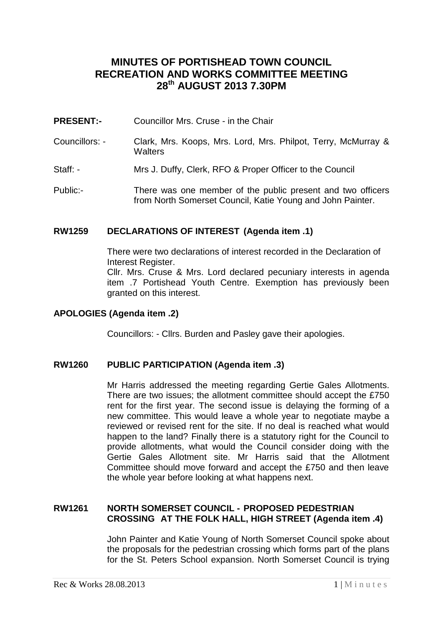# **MINUTES OF PORTISHEAD TOWN COUNCIL RECREATION AND WORKS COMMITTEE MEETING 28th AUGUST 2013 7.30PM**

- **PRESENT:-** Councillor Mrs. Cruse in the Chair
- Councillors: Clark, Mrs. Koops, Mrs. Lord, Mrs. Philpot, Terry, McMurray & **Walters**
- Staff: Mrs J. Duffy, Clerk, RFO & Proper Officer to the Council
- Public:- There was one member of the public present and two officers from North Somerset Council, Katie Young and John Painter.

## **RW1259 DECLARATIONS OF INTEREST (Agenda item .1)**

There were two declarations of interest recorded in the Declaration of Interest Register. Cllr. Mrs. Cruse & Mrs. Lord declared pecuniary interests in agenda

item .7 Portishead Youth Centre. Exemption has previously been granted on this interest.

# **APOLOGIES (Agenda item .2)**

Councillors: - Cllrs. Burden and Pasley gave their apologies.

## **RW1260 PUBLIC PARTICIPATION (Agenda item .3)**

Mr Harris addressed the meeting regarding Gertie Gales Allotments. There are two issues; the allotment committee should accept the £750 rent for the first year. The second issue is delaying the forming of a new committee. This would leave a whole year to negotiate maybe a reviewed or revised rent for the site. If no deal is reached what would happen to the land? Finally there is a statutory right for the Council to provide allotments, what would the Council consider doing with the Gertie Gales Allotment site. Mr Harris said that the Allotment Committee should move forward and accept the £750 and then leave the whole year before looking at what happens next.

## **RW1261 NORTH SOMERSET COUNCIL - PROPOSED PEDESTRIAN CROSSING AT THE FOLK HALL, HIGH STREET (Agenda item .4)**

John Painter and Katie Young of North Somerset Council spoke about the proposals for the pedestrian crossing which forms part of the plans for the St. Peters School expansion. North Somerset Council is trying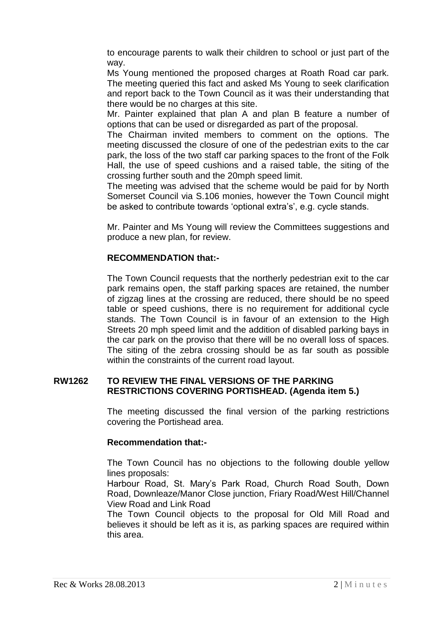to encourage parents to walk their children to school or just part of the way.

Ms Young mentioned the proposed charges at Roath Road car park. The meeting queried this fact and asked Ms Young to seek clarification and report back to the Town Council as it was their understanding that there would be no charges at this site.

Mr. Painter explained that plan A and plan B feature a number of options that can be used or disregarded as part of the proposal.

The Chairman invited members to comment on the options. The meeting discussed the closure of one of the pedestrian exits to the car park, the loss of the two staff car parking spaces to the front of the Folk Hall, the use of speed cushions and a raised table, the siting of the crossing further south and the 20mph speed limit.

The meeting was advised that the scheme would be paid for by North Somerset Council via S.106 monies, however the Town Council might be asked to contribute towards 'optional extra's', e.g. cycle stands.

Mr. Painter and Ms Young will review the Committees suggestions and produce a new plan, for review.

## **RECOMMENDATION that:-**

The Town Council requests that the northerly pedestrian exit to the car park remains open, the staff parking spaces are retained, the number of zigzag lines at the crossing are reduced, there should be no speed table or speed cushions, there is no requirement for additional cycle stands. The Town Council is in favour of an extension to the High Streets 20 mph speed limit and the addition of disabled parking bays in the car park on the proviso that there will be no overall loss of spaces. The siting of the zebra crossing should be as far south as possible within the constraints of the current road layout.

#### **RW1262 TO REVIEW THE FINAL VERSIONS OF THE PARKING RESTRICTIONS COVERING PORTISHEAD. (Agenda item 5.)**

The meeting discussed the final version of the parking restrictions covering the Portishead area.

## **Recommendation that:-**

The Town Council has no objections to the following double yellow lines proposals:

Harbour Road, St. Mary's Park Road, Church Road South, Down Road, Downleaze/Manor Close junction, Friary Road/West Hill/Channel View Road and Link Road

The Town Council objects to the proposal for Old Mill Road and believes it should be left as it is, as parking spaces are required within this area.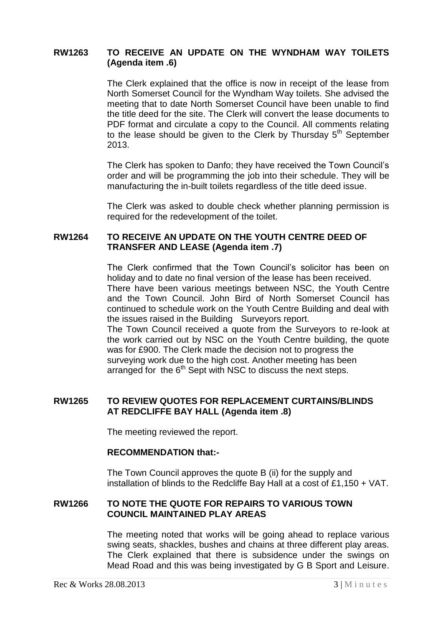# **RW1263 TO RECEIVE AN UPDATE ON THE WYNDHAM WAY TOILETS (Agenda item .6)**

The Clerk explained that the office is now in receipt of the lease from North Somerset Council for the Wyndham Way toilets. She advised the meeting that to date North Somerset Council have been unable to find the title deed for the site. The Clerk will convert the lease documents to PDF format and circulate a copy to the Council. All comments relating to the lease should be given to the Clerk by Thursday 5<sup>th</sup> September 2013.

The Clerk has spoken to Danfo; they have received the Town Council's order and will be programming the job into their schedule. They will be manufacturing the in-built toilets regardless of the title deed issue.

The Clerk was asked to double check whether planning permission is required for the redevelopment of the toilet.

#### **RW1264 TO RECEIVE AN UPDATE ON THE YOUTH CENTRE DEED OF TRANSFER AND LEASE (Agenda item .7)**

The Clerk confirmed that the Town Council's solicitor has been on holiday and to date no final version of the lease has been received. There have been various meetings between NSC, the Youth Centre and the Town Council. John Bird of North Somerset Council has continued to schedule work on the Youth Centre Building and deal with the issues raised in the Building Surveyors report. The Town Council received a quote from the Surveyors to re-look at the work carried out by NSC on the Youth Centre building, the quote was for £900. The Clerk made the decision not to progress the

surveying work due to the high cost. Another meeting has been arranged for the  $6<sup>th</sup>$  Sept with NSC to discuss the next steps.

## **RW1265 TO REVIEW QUOTES FOR REPLACEMENT CURTAINS/BLINDS AT REDCLIFFE BAY HALL (Agenda item .8)**

The meeting reviewed the report.

#### **RECOMMENDATION that:-**

The Town Council approves the quote B (ii) for the supply and installation of blinds to the Redcliffe Bay Hall at a cost of £1,150 + VAT.

## **RW1266 TO NOTE THE QUOTE FOR REPAIRS TO VARIOUS TOWN COUNCIL MAINTAINED PLAY AREAS**

The meeting noted that works will be going ahead to replace various swing seats, shackles, bushes and chains at three different play areas. The Clerk explained that there is subsidence under the swings on Mead Road and this was being investigated by G B Sport and Leisure.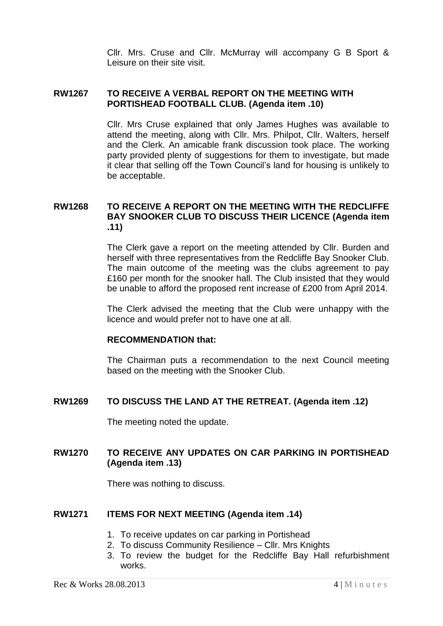Cllr. Mrs. Cruse and Cllr. McMurray will accompany G B Sport & Leisure on their site visit.

#### **RW1267 TO RECEIVE A VERBAL REPORT ON THE MEETING WITH PORTISHEAD FOOTBALL CLUB. (Agenda item .10)**

Cllr. Mrs Cruse explained that only James Hughes was available to attend the meeting, along with Cllr. Mrs. Philpot, Cllr. Walters, herself and the Clerk. An amicable frank discussion took place. The working party provided plenty of suggestions for them to investigate, but made it clear that selling off the Town Council's land for housing is unlikely to be acceptable.

# **RW1268 TO RECEIVE A REPORT ON THE MEETING WITH THE REDCLIFFE BAY SNOOKER CLUB TO DISCUSS THEIR LICENCE (Agenda item .11)**

The Clerk gave a report on the meeting attended by Cllr. Burden and herself with three representatives from the Redcliffe Bay Snooker Club. The main outcome of the meeting was the clubs agreement to pay £160 per month for the snooker hall. The Club insisted that they would be unable to afford the proposed rent increase of £200 from April 2014.

The Clerk advised the meeting that the Club were unhappy with the licence and would prefer not to have one at all.

#### **RECOMMENDATION that:**

The Chairman puts a recommendation to the next Council meeting based on the meeting with the Snooker Club.

## **RW1269 TO DISCUSS THE LAND AT THE RETREAT. (Agenda item .12)**

The meeting noted the update.

# **RW1270 TO RECEIVE ANY UPDATES ON CAR PARKING IN PORTISHEAD (Agenda item .13)**

There was nothing to discuss.

#### **RW1271 ITEMS FOR NEXT MEETING (Agenda item .14)**

- 1. To receive updates on car parking in Portishead
- 2. To discuss Community Resilience Cllr. Mrs Knights
- 3. To review the budget for the Redcliffe Bay Hall refurbishment works.